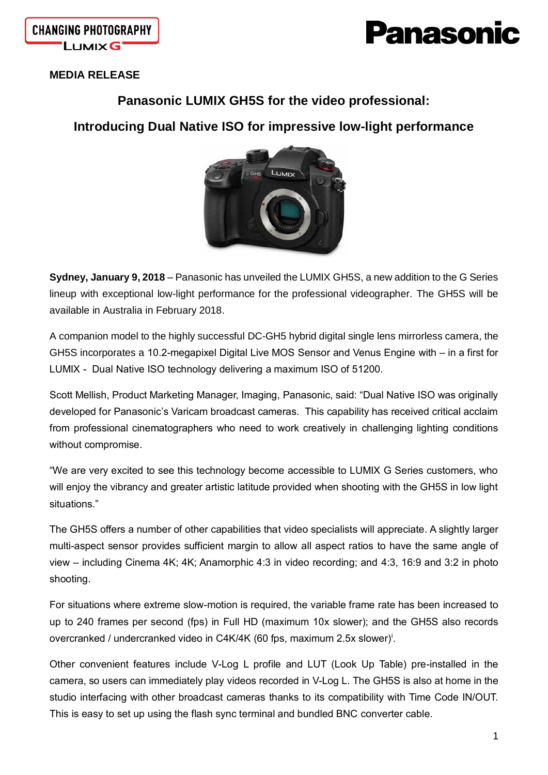

**CHANGING PHOTOGRAPHY LUMIXG** 

## **MEDIA RELEASE**

## **Panasonic LUMIX GH5S for the video professional:**

# **Introducing Dual Native ISO for impressive low-light performance**



**Sydney, January 9, 2018** – Panasonic has unveiled the LUMIX GH5S, a new addition to the G Series lineup with exceptional low-light performance for the professional videographer. The GH5S will be available in Australia in February 2018.

A companion model to the highly successful DC-GH5 hybrid digital single lens mirrorless camera, the GH5S incorporates a 10.2-megapixel Digital Live MOS Sensor and Venus Engine with – in a first for LUMIX - Dual Native ISO technology delivering a maximum ISO of 51200.

Scott Mellish, Product Marketing Manager, Imaging, Panasonic, said: "Dual Native ISO was originally developed for Panasonic's Varicam broadcast cameras. This capability has received critical acclaim from professional cinematographers who need to work creatively in challenging lighting conditions without compromise.

"We are very excited to see this technology become accessible to LUMIX G Series customers, who will enjoy the vibrancy and greater artistic latitude provided when shooting with the GH5S in low light situations."

The GH5S offers a number of other capabilities that video specialists will appreciate. A slightly larger multi-aspect sensor provides sufficient margin to allow all aspect ratios to have the same angle of view – including Cinema 4K; 4K; Anamorphic 4:3 in video recording; and 4:3, 16:9 and 3:2 in photo shooting.

For situations where extreme slow-motion is required, the variable frame rate has been increased to up to 240 frames per second (fps) in Full HD (maximum 10x slower); and the GH5S also records overcranked / undercranked video in C4K/4K (60 fps, maximum 2.5x slower)<sup>i</sup>.

Other convenient features include V-Log L profile and LUT (Look Up Table) pre-installed in the camera, so users can immediately play videos recorded in V-Log L. The GH5S is also at home in the studio interfacing with other broadcast cameras thanks to its compatibility with Time Code IN/OUT. This is easy to set up using the flash sync terminal and bundled BNC converter cable.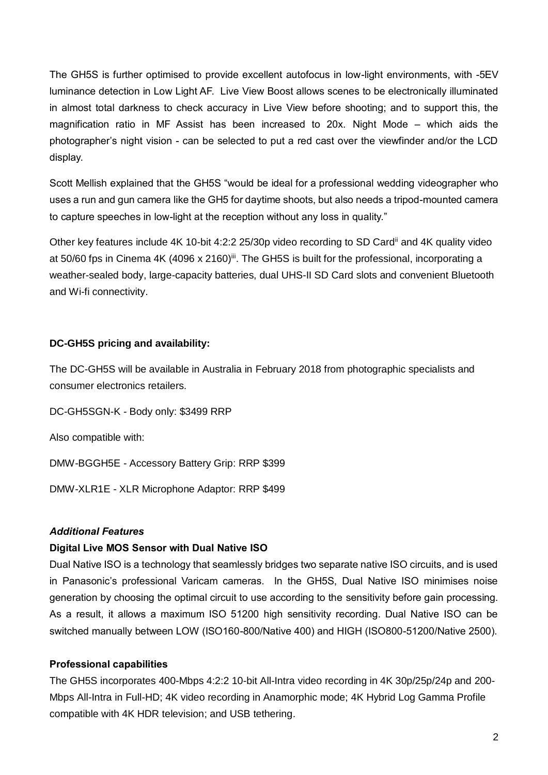The GH5S is further optimised to provide excellent autofocus in low-light environments, with -5EV luminance detection in Low Light AF. Live View Boost allows scenes to be electronically illuminated in almost total darkness to check accuracy in Live View before shooting; and to support this, the magnification ratio in MF Assist has been increased to 20x. Night Mode – which aids the photographer's night vision - can be selected to put a red cast over the viewfinder and/or the LCD display.

Scott Mellish explained that the GH5S "would be ideal for a professional wedding videographer who uses a run and gun camera like the GH5 for daytime shoots, but also needs a tripod-mounted camera to capture speeches in low-light at the reception without any loss in quality."

Other key features include 4K 10-bit 4:2:2 25/30p video recording to SD Cardii and 4K quality video at 50/60 fps in Cinema 4K (4096 x 2160)<sup>iii</sup>. The GH5S is built for the professional, incorporating a weather-sealed body, large-capacity batteries, dual UHS-II SD Card slots and convenient Bluetooth and Wi-fi connectivity.

### **DC-GH5S pricing and availability:**

The DC-GH5S will be available in Australia in February 2018 from photographic specialists and consumer electronics retailers.

DC-GH5SGN-K - Body only: \$3499 RRP

Also compatible with:

DMW-BGGH5E - Accessory Battery Grip: RRP \$399

DMW-XLR1E - XLR Microphone Adaptor: RRP \$499

#### *Additional Features*

#### **Digital Live MOS Sensor with Dual Native ISO**

Dual Native ISO is a technology that seamlessly bridges two separate native ISO circuits, and is used in Panasonic's professional Varicam cameras. In the GH5S, Dual Native ISO minimises noise generation by choosing the optimal circuit to use according to the sensitivity before gain processing. As a result, it allows a maximum ISO 51200 high sensitivity recording. Dual Native ISO can be switched manually between LOW (ISO160-800/Native 400) and HIGH (ISO800-51200/Native 2500).

#### **Professional capabilities**

The GH5S incorporates 400-Mbps 4:2:2 10-bit All-Intra video recording in 4K 30p/25p/24p and 200- Mbps All-Intra in Full-HD; 4K video recording in Anamorphic mode; 4K Hybrid Log Gamma Profile compatible with 4K HDR television; and USB tethering.